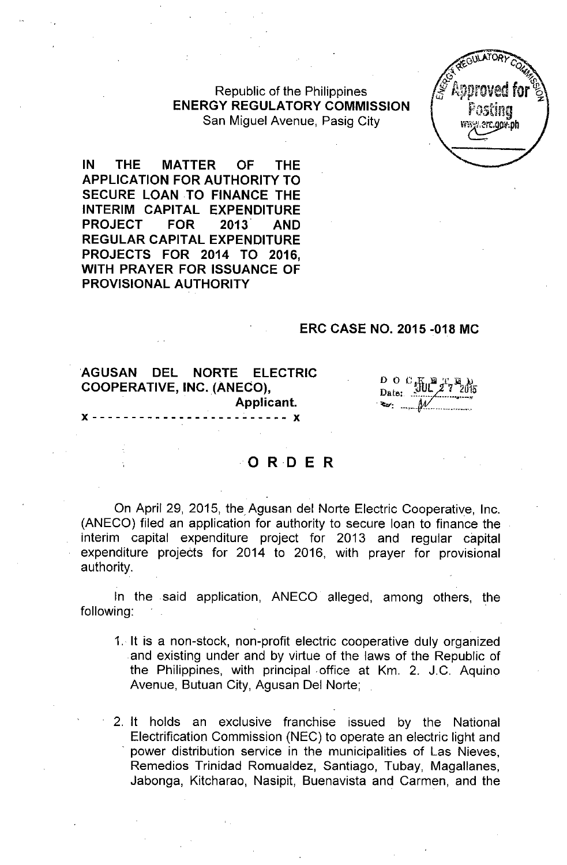Republic of the Philippines ENERGY REGULATORY COMMISSION San Miguel Avenue, Pasig City



IN THE MATTER OF THE APPLICATION FOR AUTHORITY TO SECURE LOAN TO FINANCE THE INTERIM CAPITAL EXPENDITURE PROJECT FOR 2013 AND REGULAR CAPITAL EXPENDITURE PROJECTS FOR 2014 TO 2016, WITH PRAYER FOR ISSUANCE OF PROVISIONAL AUTHORITY

## ERC CASE NO. 2015 -018 MC

## AGUSAN DEL NORTE ELECTRIC COOPERATIVE, INC. (ANECO), Applicant.  $\cdots$  -  $\cdots$  x

Do C Hu Date:

# **o RD <sup>E</sup> <sup>R</sup>**

On April 29, 2015, the Agusan del Norte Electric Cooperative, Inc. (ANECO) filed an application for authority to secure loan to finance the interim capital expenditure project for 2013 and regular capital expenditure projects for 2014 to 2016, with prayer for provisional authority.

In the said application, ANECO alleged, among others, the following:

- 1. It is a non-stock, non-profit electric cooperative duly organized and existing under and by virtue of the laws of the Republic of the Philippines, with principal .office at Km. 2. J.C. Aquino Avenue, Butuan City, Agusan Del Norte;
- 2. It holds an exclusive franchise issued by the National Electrification Commission (NEC) to operate an electric light and . power distribution service in the municipalities of Las Nieves, Remedios Trinidad Romualdez, Santiago, Tubay, Magallanes, Jabonga, Kitcharao, Nasipit, Buenavista and Carmen, and the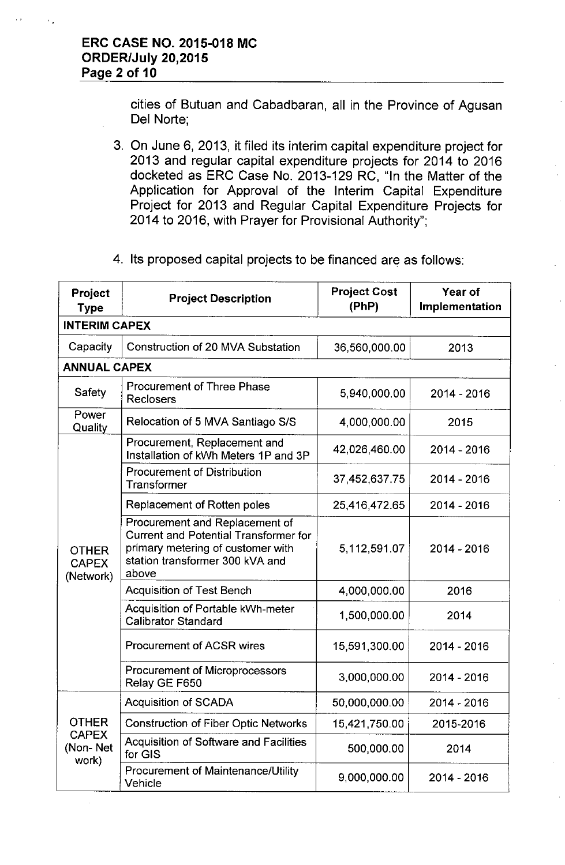cities of Butuan and Cabadbaran, all in the Province of Agusan Del Norte;

- 3. On June 6, 2013, it filed its interim capital expenditure project for 2013 and regular capital expenditure projects for 2014 to 2016 docketed as ERC Case No. 2013-129 RC, "In the Matter of the Application for Approval of the Interim Capital Expenditure Project for 2013 and Regular Capital Expenditure Projects for 2014 to 2016, with Prayer for Provisional Authority";
- 4. Its proposed capital projects to be financed are as follows:

| Project<br><b>Type</b>                            | <b>Project Description</b>                                                                                                                                      | <b>Project Cost</b><br>(PhP) | Year of<br>Implementation |  |  |  |
|---------------------------------------------------|-----------------------------------------------------------------------------------------------------------------------------------------------------------------|------------------------------|---------------------------|--|--|--|
| <b>INTERIM CAPEX</b>                              |                                                                                                                                                                 |                              |                           |  |  |  |
| Capacity                                          | Construction of 20 MVA Substation                                                                                                                               | 36,560,000.00                | 2013                      |  |  |  |
| <b>ANNUAL CAPEX</b>                               |                                                                                                                                                                 |                              |                           |  |  |  |
| <b>Safety</b>                                     | <b>Procurement of Three Phase</b><br>Reclosers                                                                                                                  | 5,940,000.00                 | 2014 - 2016               |  |  |  |
| Power<br>Quality                                  | Relocation of 5 MVA Santiago S/S<br>4,000,000.00<br>2015                                                                                                        |                              |                           |  |  |  |
|                                                   | Procurement, Replacement and<br>Installation of kWh Meters 1P and 3P                                                                                            | 42,026,460.00                | 2014 - 2016               |  |  |  |
|                                                   | <b>Procurement of Distribution</b><br>Transformer                                                                                                               | 37,452,637.75                | 2014 - 2016               |  |  |  |
|                                                   | Replacement of Rotten poles                                                                                                                                     | 25,416,472.65                | 2014 - 2016               |  |  |  |
| <b>OTHER</b><br><b>CAPEX</b><br>(Network)         | Procurement and Replacement of<br><b>Current and Potential Transformer for</b><br>primary metering of customer with<br>station transformer 300 kVA and<br>above | 5,112,591.07                 | $2014 - 2016$             |  |  |  |
|                                                   | <b>Acquisition of Test Bench</b>                                                                                                                                | 4,000,000.00                 | 2016                      |  |  |  |
|                                                   | Acquisition of Portable kWh-meter<br><b>Calibrator Standard</b>                                                                                                 | 1,500,000.00                 | 2014                      |  |  |  |
|                                                   | <b>Procurement of ACSR wires</b>                                                                                                                                | 15,591,300.00                | 2014 - 2016               |  |  |  |
|                                                   | <b>Procurement of Microprocessors</b><br>Relay GE F650                                                                                                          | 3,000,000.00                 | 2014 - 2016               |  |  |  |
| <b>OTHER</b><br><b>CAPEX</b><br>(Non-Net<br>work) | <b>Acquisition of SCADA</b>                                                                                                                                     | 50,000,000.00                | 2014 - 2016               |  |  |  |
|                                                   | <b>Construction of Fiber Optic Networks</b>                                                                                                                     | 15,421,750.00                | 2015-2016                 |  |  |  |
|                                                   | <b>Acquisition of Software and Facilities</b><br>for GIS                                                                                                        | 500,000.00                   | 2014                      |  |  |  |
|                                                   | <b>Procurement of Maintenance/Utility</b><br>Vehicle                                                                                                            | 9,000,000.00                 | $2014 - 2016$             |  |  |  |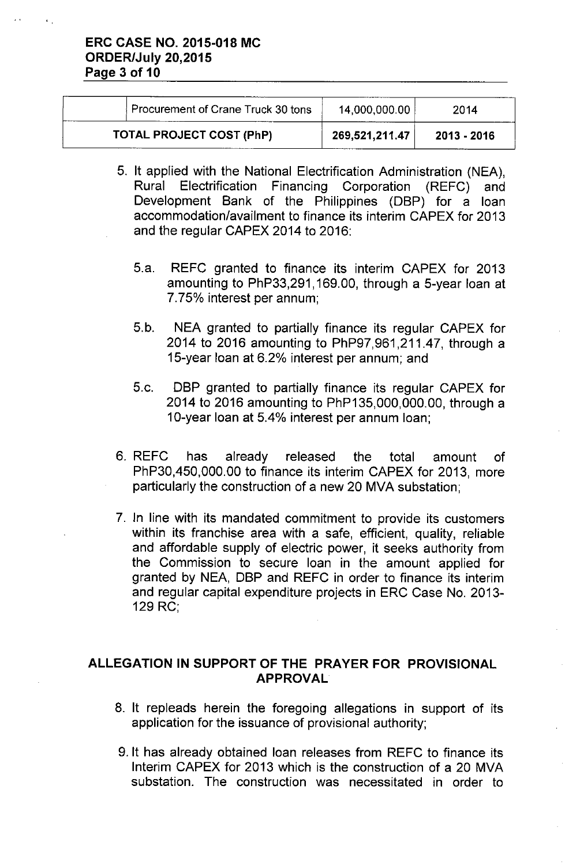|                                 | Procurement of Crane Truck 30 tons | 14,000,000.00  | 2014        |
|---------------------------------|------------------------------------|----------------|-------------|
| <b>TOTAL PROJECT COST (PhP)</b> |                                    | 269,521,211.47 | 2013 - 2016 |

- 5. It applied with the National Electrification Administration (NEA), Rural Electrification Financing Corporation (REFC) and Development Bank of the Philippines (DBP) for a loan accommodation/availment to finance its interim CAPEX for 2013 and the regular CAPEX 2014 to 2016:
	- 5.a. REFC granted to finance its interim CAPEX for 2013 amounting to PhP33,291, 169.00, through a 5-year loan at 7.75% interest per annum;
	- 5.b. NEA granted to partially finance its regular CAPEX for 2014 to 2016 amounting to PhP97,961,211.47, through a 15-year loan at 6.2% interest per annum; and
	- 5.c. DBP granted to partially finance its regular CAPEX for 2014 to 2016 amounting to PhP135,000,000.00, through a 10-year loan at 5.4% interest per annum loan;
- 6. REFC has already released the total amount of PhP30,450,000.00 to finance its interim CAPEX for 2013, more particularly the construction of a new 20 MVA substation;
- 7. In line with its mandated commitment to provide its customers within its franchise area with a safe, efficient, quality, reliable and affordable supply of electric power, it seeks authority from the Commission to secure loan in the amount applied for granted by NEA, DBP and REFC in order to finance its interim and regular capital expenditure projects in ERC Case No. 2013- 129 RC;

# ALLEGATION IN SUPPORT OF THE PRAYER FOR PROVISIONAL APPROVAL

- 8. It repleads herein the foregoing allegations in support of its application for the issuance of provisional authority;
- 9. It has already obtained loan releases from REFC to finance its Interim CAPEX for 2013 which is the construction of a 20 MVA substation. The construction was necessitated in order to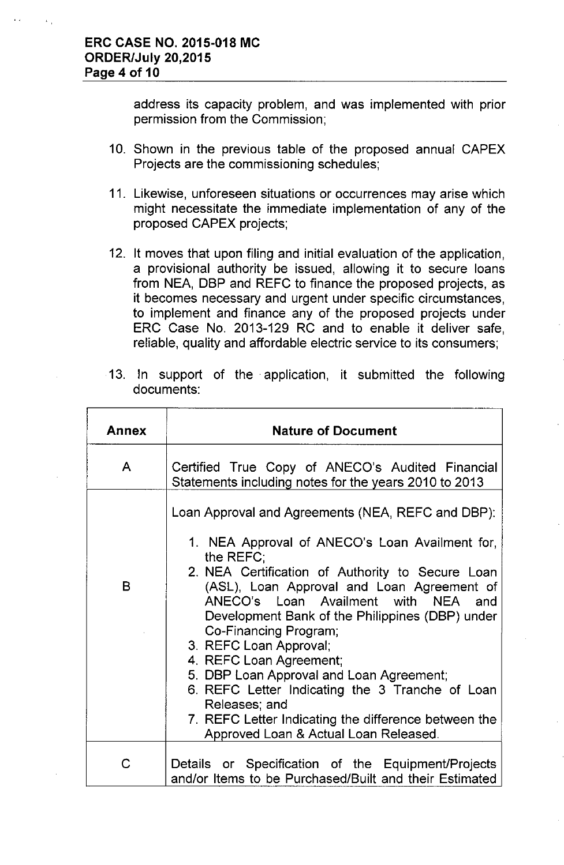address its capacity problem, and was implemented with prior permission from the Commission;

- 10. Shown in the previous table of the proposed annual CAPEX Projects are the commissioning schedules;
- 11. Likewise, unforeseen situations or occurrences may arise which might necessitate the immediate implementation of any of the proposed CAPEX projects;
- 12. It moves that upon filing and initial evaluation of the application, a provisional authority be issued, allowing it to secure loans from NEA, DBP and REFC to finance the proposed projects, as it becomes necessary and urgent under specific circumstances, to implement and finance any of the proposed projects under ERC Case No. 2013-129 RC and to enable it deliver safe, reliable, quality and affordable electric service to its consumers;

|  |            |  | 13. In support of the application, it submitted the following |  |  |
|--|------------|--|---------------------------------------------------------------|--|--|
|  | documents: |  |                                                               |  |  |
|  |            |  |                                                               |  |  |

| Annex | <b>Nature of Document</b>                                                                                                                                                                                                                                                                                                                                                                                                                                                                                                                                                                                   |
|-------|-------------------------------------------------------------------------------------------------------------------------------------------------------------------------------------------------------------------------------------------------------------------------------------------------------------------------------------------------------------------------------------------------------------------------------------------------------------------------------------------------------------------------------------------------------------------------------------------------------------|
| A     | Certified True Copy of ANECO's Audited Financial<br>Statements including notes for the years 2010 to 2013                                                                                                                                                                                                                                                                                                                                                                                                                                                                                                   |
| B     | Loan Approval and Agreements (NEA, REFC and DBP):<br>1. NEA Approval of ANECO's Loan Availment for,<br>the REFC:<br>2. NEA Certification of Authority to Secure Loan<br>(ASL), Loan Approval and Loan Agreement of<br>ANECO's Loan Availment with NEA and<br>Development Bank of the Philippines (DBP) under<br>Co-Financing Program;<br>3. REFC Loan Approval;<br>4. REFC Loan Agreement;<br>5. DBP Loan Approval and Loan Agreement;<br>6. REFC Letter Indicating the 3 Tranche of Loan<br>Releases; and<br>7. REFC Letter Indicating the difference between the<br>Approved Loan & Actual Loan Released. |
| C     | Details or Specification of the Equipment/Projects<br>and/or Items to be Purchased/Built and their Estimated                                                                                                                                                                                                                                                                                                                                                                                                                                                                                                |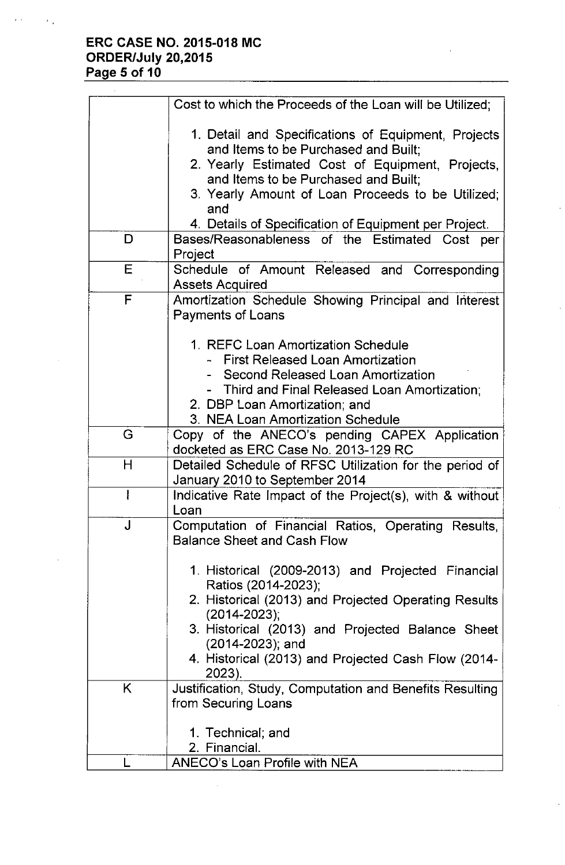# **ERC CASE NO. 2015-018 MC ORDER/July 20,2015 Page 5 of 10**

|    | Cost to which the Proceeds of the Loan will be Utilized;                                  |
|----|-------------------------------------------------------------------------------------------|
|    | 1. Detail and Specifications of Equipment, Projects                                       |
|    | and Items to be Purchased and Built;                                                      |
|    | 2. Yearly Estimated Cost of Equipment, Projects,                                          |
|    | and Items to be Purchased and Built;                                                      |
|    | 3. Yearly Amount of Loan Proceeds to be Utilized;<br>and                                  |
|    | 4. Details of Specification of Equipment per Project.                                     |
| D  | Bases/Reasonableness of the Estimated Cost per                                            |
|    | Project                                                                                   |
| Е  | Schedule of Amount Released and Corresponding                                             |
|    | <b>Assets Acquired</b>                                                                    |
| F  | Amortization Schedule Showing Principal and Interest                                      |
|    | <b>Payments of Loans</b>                                                                  |
|    | 1. REFC Loan Amortization Schedule                                                        |
|    | - First Released Loan Amortization                                                        |
|    | - Second Released Loan Amortization                                                       |
|    | - Third and Final Released Loan Amortization;                                             |
|    | 2. DBP Loan Amortization; and                                                             |
|    | 3. NEA Loan Amortization Schedule                                                         |
| G  | Copy of the ANECO's pending CAPEX Application                                             |
|    | docketed as ERC Case No. 2013-129 RC                                                      |
| H  | Detailed Schedule of RFSC Utilization for the period of                                   |
|    | January 2010 to September 2014                                                            |
|    | Indicative Rate Impact of the Project(s), with & without                                  |
| J  | Loan                                                                                      |
|    | Computation of Financial Ratios, Operating Results,<br><b>Balance Sheet and Cash Flow</b> |
|    | 1. Historical (2009-2013) and Projected Financial                                         |
|    | Ratios (2014-2023);                                                                       |
|    | 2. Historical (2013) and Projected Operating Results<br>$(2014 - 2023)$ ;                 |
|    | 3. Historical (2013) and Projected Balance Sheet                                          |
|    | (2014-2023); and                                                                          |
|    | 4. Historical (2013) and Projected Cash Flow (2014-                                       |
|    | 2023).                                                                                    |
| K. | Justification, Study, Computation and Benefits Resulting                                  |
|    | from Securing Loans                                                                       |
|    | 1. Technical; and                                                                         |
|    | 2. Financial.                                                                             |
|    | <b>ANECO's Loan Profile with NEA</b>                                                      |
|    |                                                                                           |

 $\tilde{\mathcal{L}}_1$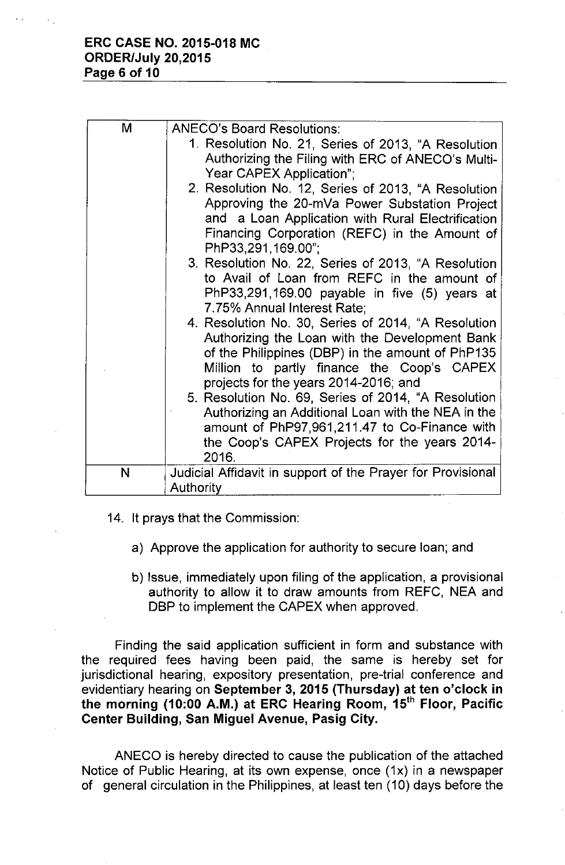| M | <b>ANECO's Board Resolutions:</b>                           |  |  |  |
|---|-------------------------------------------------------------|--|--|--|
|   | 1. Resolution No. 21, Series of 2013, "A Resolution         |  |  |  |
|   | Authorizing the Filing with ERC of ANECO's Multi-           |  |  |  |
|   | Year CAPEX Application":                                    |  |  |  |
|   | 2. Resolution No. 12, Series of 2013, "A Resolution         |  |  |  |
|   | Approving the 20-mVa Power Substation Project               |  |  |  |
|   | and a Loan Application with Rural Electrification           |  |  |  |
|   | Financing Corporation (REFC) in the Amount of               |  |  |  |
|   | PhP33,291,169.00";                                          |  |  |  |
|   | 3. Resolution No. 22, Series of 2013, "A Resolution         |  |  |  |
|   | to Avail of Loan from REFC in the amount of                 |  |  |  |
|   | PhP33,291,169.00 payable in five (5) years at               |  |  |  |
|   | 7.75% Annual Interest Rate;                                 |  |  |  |
|   | 4. Resolution No. 30, Series of 2014, "A Resolution         |  |  |  |
|   | Authorizing the Loan with the Development Bank              |  |  |  |
|   | of the Philippines (DBP) in the amount of PhP135            |  |  |  |
|   | Million to partly finance the Coop's CAPEX                  |  |  |  |
|   | projects for the years 2014-2016; and                       |  |  |  |
|   | 5. Resolution No. 69, Series of 2014, "A Resolution         |  |  |  |
|   | Authorizing an Additional Loan with the NEA in the          |  |  |  |
|   | amount of PhP97,961,211.47 to Co-Finance with               |  |  |  |
|   | the Coop's CAPEX Projects for the years 2014-               |  |  |  |
|   | 2016.                                                       |  |  |  |
| N | Judicial Affidavit in support of the Prayer for Provisional |  |  |  |
|   | <b>Authority</b>                                            |  |  |  |

- 14. It prays that the Commission:
	- a) Approve the application for authority to secure loan; and
	- b) Issue, immediately upon filing of the application, a provisional authority to allow it to draw amounts from REFC, NEA and DBP to implement the CAPEX when approved.

Finding the said application sufficient in form and substance with the required fees having been paid, the same is hereby set for jurisdictional hearing, expository presentation, pre-trial conference and evidentiary hearing on **September 3,2015 (Thursday) at ten o'clock in the morning (10:00 A.M.) at ERC Hearing Room,** 15th **Floor, Pacific Center Building, San Miguel Avenue, Pasig City.**

ANECO is hereby directed to cause the publication of the attached Notice of Public Hearing, at its own expense, once (1x) in a newspaper of general circulation in the Philippines, at least ten (10) days before the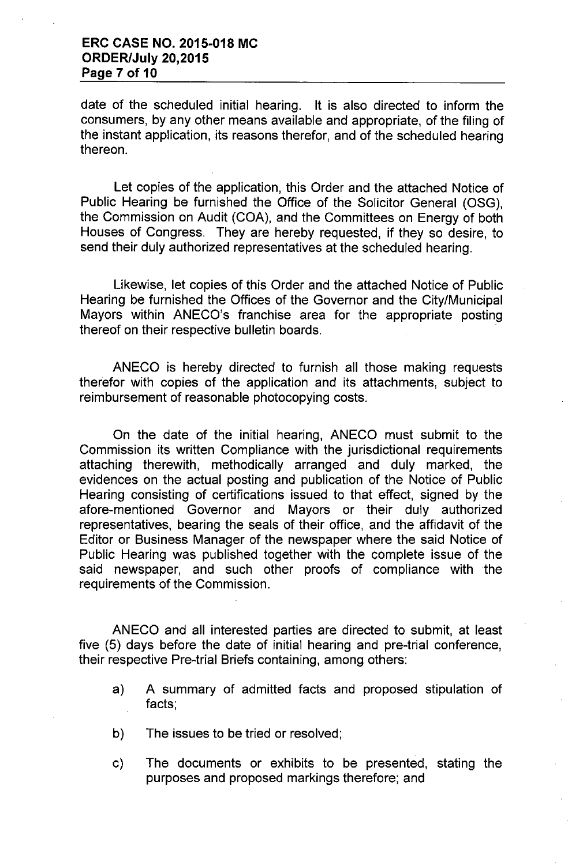date of the scheduled initial hearing. It is also directed to inform the consumers, by any other means available and appropriate, of the filing of the instant application, its reasons therefor, and of the scheduled hearing thereon.

Let copies of the application, this Order and the attached Notice of Public Hearing be furnished the Office of the Solicitor General (OSG), the Commission on Audit (COA), and the Committees on Energy of both Houses of Congress. They are hereby requested, if they so desire, to send their duly authorized representatives at the scheduled hearing.

Likewise, let copies of this Order and the attached Notice of Public Hearing be furnished the Offices of the Governor and the CitylMunicipal Mayors within ANECO's franchise area for the appropriate posting thereof on their respective bulletin boards.

ANECO is hereby directed to furnish all those making requests therefor with copies of the application and its attachments, subject to reimbursement of reasonable photocopying costs.

On the date of the initial hearing, ANECO must submit to the Commission its written Compliance with the jurisdictional requirements attaching therewith, methodically arranged and duly marked, the evidences on the actual posting and publication of the Notice of Public Hearing consisting of certifications issued to that effect, signed by the afore-mentioned Governor and Mayors or their duly authorized representatives, bearing the seals of their office, and the affidavit of the Editor or Business Manager of the newspaper where the said Notice of Public Hearing was published together with the complete issue of the said newspaper, and such other proofs of compliance with the requirements of the Commission.

ANECO and all interested parties are directed to submit, at least five (5) days before the date of initial hearing and pre-trial conference, their respective Pre-trial Briefs containing, among others:

- a) A summary of admitted facts and proposed stipulation of facts;
- b) The issues to be tried or resolved;
- c) The documents or exhibits to be presented, stating the purposes and proposed markings therefore; and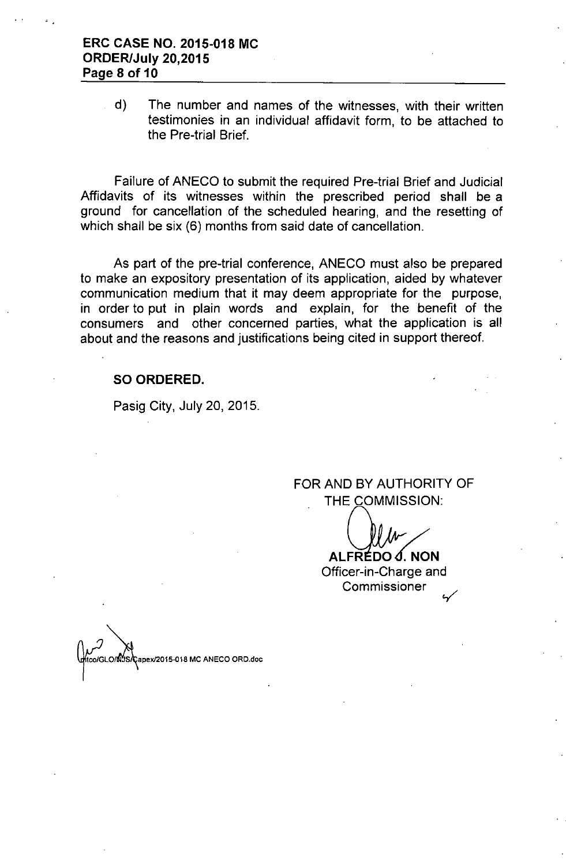## **ERC CASE NO. 2015-018 MC ORDER/July 20,2015 Page 8 of 10**

d) The number and names of the witnesses, with their written testimonies in an individual affidavit form, to be attached to the Pre-trial Brief.

Failure of ANECO to submit the required Pre-trial Brief and Judicial Affidavits of its witnesses within the prescribed period shall be a ground for cancellation of the scheduled hearing, and the resetting of which shall be six (6) months from said date of cancellation.

As part of the pre-trial conference, ANECO must also be prepared to make an expository presentation of its application, aided by whatever communication medium that it may deem appropriate for the purpose, in order to put in plain words and explain, for the benefit of the consumers and other concerned parties, what the application is all about and the reasons and justifications being cited in support thereof.

#### **SO ORDERED.**

Pasig City, July 20, 2015.

FOR AND BY AUTHORITY OF THE COMMISSION:

**ALFRÉDO J. NON** Officer-in-Charge and **Commissioner** 

Capex/2015-018 MC ANECO ORD.doc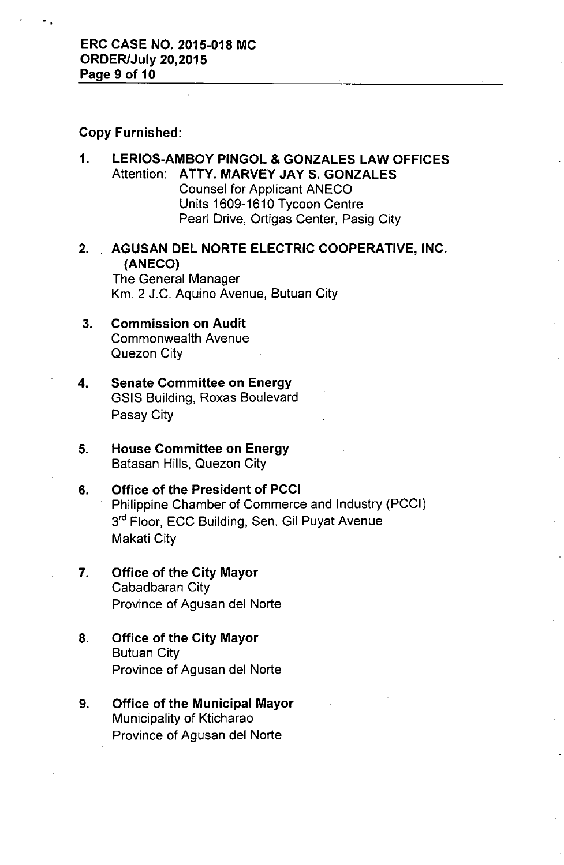### Copy Furnished:

- 1. LERIOS-AMBOY PINGOL & GONZALES LAW OFFICES Attention: ATTY. MARVEY JAY S. GONZALES Counsel for Applicant ANECO Units 1609-1610 Tycoon Centre Pearl Drive, Ortigas Center, Pasig City
- 2. AGUSAN DEL NORTE ELECTRIC COOPERATIVE, INC. (ANECO)

The General Manager Km. 2 J.C. Aquino Avenue, Butuan City

- 3. Commission on Audit Commonwealth Avenue Quezon City
- 4. Senate Committee on Energy GSIS Building, Roxas Boulevard Pasay City
- 5. House Committee on Energy Batasan Hills, Quezon City
- 6. Office of the President of PCCI Philippine Chamber of Commerce and Industry (PCCI) 3<sup>rd</sup> Floor, ECC Building, Sen. Gil Puyat Avenue Makati City
- 7. Office of the City Mayor Cabadbaran City Province of Agusan del Norte
- 8. Office of the City Mayor Butuan City Province of Agusan del Norte
- 9. Office of the Municipal Mayor Municipality of Kticharao Province of Agusan del Norte